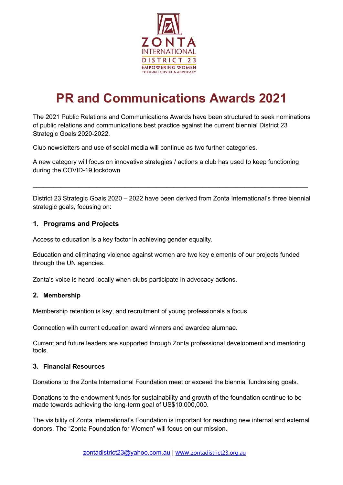

# **PR and Communications Awards 2021**

The 2021 Public Relations and Communications Awards have been structured to seek nominations of public relations and communications best practice against the current biennial District 23 Strategic Goals 2020-2022.

Club newsletters and use of social media will continue as two further categories.

A new category will focus on innovative strategies / actions a club has used to keep functioning during the COVID-19 lockdown.

District 23 Strategic Goals 2020 – 2022 have been derived from Zonta International's three biennial strategic goals, focusing on:

\_\_\_\_\_\_\_\_\_\_\_\_\_\_\_\_\_\_\_\_\_\_\_\_\_\_\_\_\_\_\_\_\_\_\_\_\_\_\_\_\_\_\_\_\_\_\_\_\_\_\_\_\_\_\_\_\_\_\_\_\_\_\_\_\_\_\_\_\_\_\_\_\_\_\_\_\_\_

# **1. Programs and Projects**

Access to education is a key factor in achieving gender equality.

Education and eliminating violence against women are two key elements of our projects funded through the UN agencies.

Zonta's voice is heard locally when clubs participate in advocacy actions.

#### **2. Membership**

Membership retention is key, and recruitment of young professionals a focus.

Connection with current education award winners and awardee alumnae.

Current and future leaders are supported through Zonta professional development and mentoring tools.

#### **3. Financial Resources**

Donations to the Zonta International Foundation meet or exceed the biennial fundraising goals.

Donations to the endowment funds for sustainability and growth of the foundation continue to be made towards achieving the long-term goal of US\$10,000,000.

The visibility of Zonta International's Foundation is important for reaching new internal and external donors. The "Zonta Foundation for Women" will focus on our mission.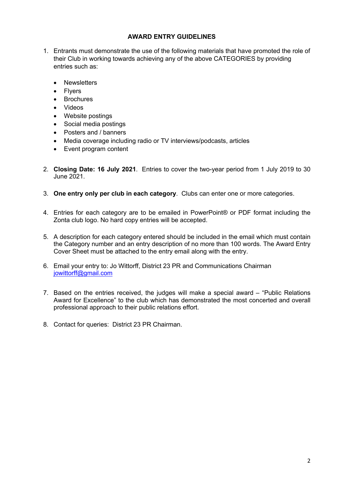## **AWARD ENTRY GUIDELINES**

- 1. Entrants must demonstrate the use of the following materials that have promoted the role of their Club in working towards achieving any of the above CATEGORIES by providing entries such as:
	- Newsletters
	- Flyers
	- Brochures
	- Videos
	- Website postings
	- Social media postings
	- Posters and / banners
	- Media coverage including radio or TV interviews/podcasts, articles
	- Event program content
- 2. **Closing Date: 16 July 2021**. Entries to cover the two-year period from 1 July 2019 to 30 June 2021.
- 3. **One entry only per club in each category**. Clubs can enter one or more categories.
- 4. Entries for each category are to be emailed in PowerPoint® or PDF format including the Zonta club logo. No hard copy entries will be accepted.
- 5. A description for each category entered should be included in the email which must contain the Category number and an entry description of no more than 100 words. The Award Entry Cover Sheet must be attached to the entry email along with the entry.
- 6. Email your entry to: Jo Wittorff, District 23 PR and Communications Chairman jowittorff@gmail.com
- 7. Based on the entries received, the judges will make a special award "Public Relations Award for Excellence" to the club which has demonstrated the most concerted and overall professional approach to their public relations effort.
- 8. Contact for queries: District 23 PR Chairman.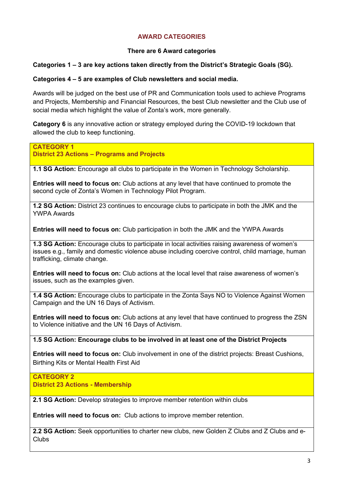# **AWARD CATEGORIES**

## **There are 6 Award categories**

## **Categories 1 – 3 are key actions taken directly from the District's Strategic Goals (SG).**

#### **Categories 4 – 5 are examples of Club newsletters and social media.**

Awards will be judged on the best use of PR and Communication tools used to achieve Programs and Projects, Membership and Financial Resources, the best Club newsletter and the Club use of social media which highlight the value of Zonta's work, more generally.

**Category 6** is any innovative action or strategy employed during the COVID-19 lockdown that allowed the club to keep functioning.

**CATEGORY 1 District 23 Actions – Programs and Projects**

**1.1 SG Action:** Encourage all clubs to participate in the Women in Technology Scholarship.

**Entries will need to focus on:** Club actions at any level that have continued to promote the second cycle of Zonta's Women in Technology Pilot Program.

**1.2 SG Action:** District 23 continues to encourage clubs to participate in both the JMK and the YWPA Awards

**Entries will need to focus on:** Club participation in both the JMK and the YWPA Awards

**1.3 SG Action:** Encourage clubs to participate in local activities raising awareness of women's issues e.g., family and domestic violence abuse including coercive control, child marriage, human trafficking, climate change.

**Entries will need to focus on:** Club actions at the local level that raise awareness of women's issues, such as the examples given.

**1.4 SG Action:** Encourage clubs to participate in the Zonta Says NO to Violence Against Women Campaign and the UN 16 Days of Activism.

**Entries will need to focus on:** Club actions at any level that have continued to progress the ZSN to Violence initiative and the UN 16 Days of Activism.

**1.5 SG Action: Encourage clubs to be involved in at least one of the District Projects**

**Entries will need to focus on:** Club involvement in one of the district projects: Breast Cushions, Birthing Kits or Mental Health First Aid

**CATEGORY 2 District 23 Actions - Membership**

**2.1 SG Action:** Develop strategies to improve member retention within clubs

**Entries will need to focus on:** Club actions to improve member retention.

**2.2 SG Action:** Seek opportunities to charter new clubs, new Golden Z Clubs and Z Clubs and e-Clubs